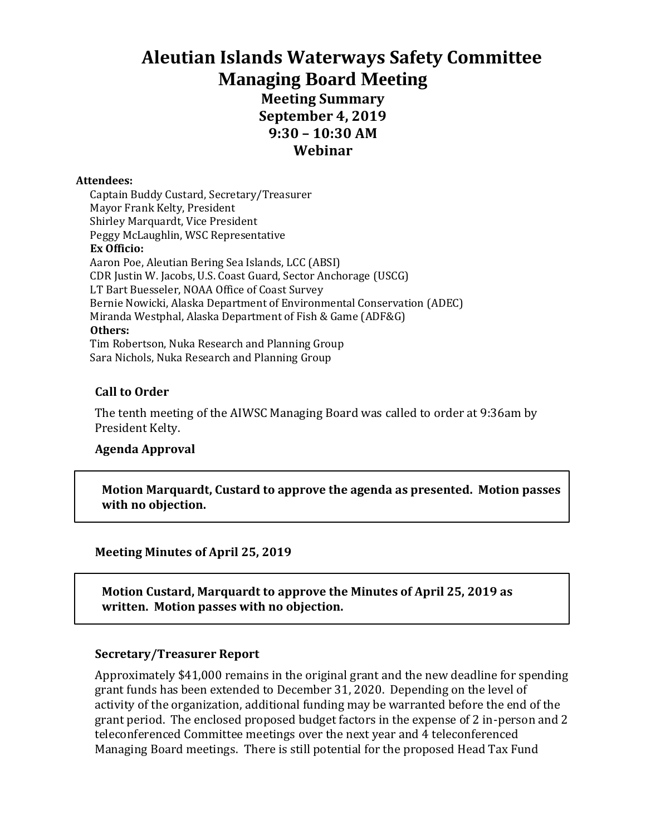# **Aleutian Islands Waterways Safety Committee Managing Board Meeting Meeting Summary September 4, 2019 9:30 – 10:30 AM Webinar**

#### **Attendees:**

Captain Buddy Custard, Secretary/Treasurer Mayor Frank Kelty, President Shirley Marquardt, Vice President Peggy McLaughlin, WSC Representative **Ex Officio:** Aaron Poe, Aleutian Bering Sea Islands, LCC (ABSI) CDR Justin W. Jacobs, U.S. Coast Guard, Sector Anchorage (USCG) LT Bart Buesseler, NOAA Office of Coast Survey Bernie Nowicki, Alaska Department of Environmental Conservation (ADEC) Miranda Westphal, Alaska Department of Fish & Game (ADF&G) **Others:** Tim Robertson, Nuka Research and Planning Group Sara Nichols, Nuka Research and Planning Group

#### **Call to Order**

The tenth meeting of the AIWSC Managing Board was called to order at 9:36am by President Kelty.

#### **Agenda Approval**

**Motion Marquardt, Custard to approve the agenda as presented. Motion passes with no objection.**

**Meeting Minutes of April 25, 2019**

**Motion Custard, Marquardt to approve the Minutes of April 25, 2019 as written. Motion passes with no objection.**

#### **Secretary/Treasurer Report**

Approximately \$41,000 remains in the original grant and the new deadline for spending grant funds has been extended to December 31, 2020. Depending on the level of activity of the organization, additional funding may be warranted before the end of the grant period. The enclosed proposed budget factors in the expense of 2 in-person and 2 teleconferenced Committee meetings over the next year and 4 teleconferenced Managing Board meetings. There is still potential for the proposed Head Tax Fund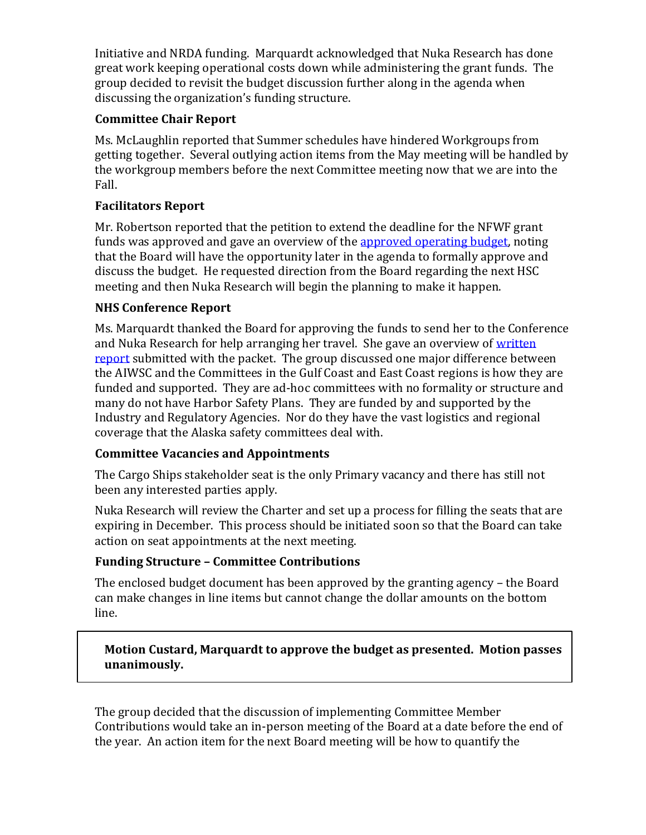Initiative and NRDA funding. Marquardt acknowledged that Nuka Research has done great work keeping operational costs down while administering the grant funds. The group decided to revisit the budget discussion further along in the agenda when discussing the organization's funding structure.

# **Committee Chair Report**

Ms. McLaughlin reported that Summer schedules have hindered Workgroups from getting together. Several outlying action items from the May meeting will be handled by the workgroup members before the next Committee meeting now that we are into the Fall.

# **Facilitators Report**

Mr. Robertson reported that the petition to extend the deadline for the NFWF grant funds was approved and gave an overview of th[e approved operating budget,](https://www.dropbox.com/work/NUKA%20PROJECTS/National%20Fish%20and%20Wildlife%20Foundation%20(NFWF)/Aleutians%20Waterway%20Safety%20Committee/Managing%20Board%20Record/2019%20Record/September%204%20Call/Meeting%20Materials?preview=190709NFWF+Proposed+Budget+Report.drft+.pdf) noting that the Board will have the opportunity later in the agenda to formally approve and discuss the budget. He requested direction from the Board regarding the next HSC meeting and then Nuka Research will begin the planning to make it happen.

# **NHS Conference Report**

Ms. Marquardt thanked the Board for approving the funds to send her to the Conference and Nuka Research for help arranging her travel. She gave an overview of [written](https://www.dropbox.com/work/NUKA%20PROJECTS/National%20Fish%20and%20Wildlife%20Foundation%20(NFWF)/Aleutians%20Waterway%20Safety%20Committee/Managing%20Board%20Record/2019%20Record/September%204%20Call/Meeting%20Materials?preview=190802+NHC+Report+to+AIWSC+Board.pdf)  [report](https://www.dropbox.com/work/NUKA%20PROJECTS/National%20Fish%20and%20Wildlife%20Foundation%20(NFWF)/Aleutians%20Waterway%20Safety%20Committee/Managing%20Board%20Record/2019%20Record/September%204%20Call/Meeting%20Materials?preview=190802+NHC+Report+to+AIWSC+Board.pdf) submitted with the packet. The group discussed one major difference between the AIWSC and the Committees in the Gulf Coast and East Coast regions is how they are funded and supported. They are ad-hoc committees with no formality or structure and many do not have Harbor Safety Plans. They are funded by and supported by the Industry and Regulatory Agencies. Nor do they have the vast logistics and regional coverage that the Alaska safety committees deal with.

## **Committee Vacancies and Appointments**

The Cargo Ships stakeholder seat is the only Primary vacancy and there has still not been any interested parties apply.

Nuka Research will review the Charter and set up a process for filling the seats that are expiring in December. This process should be initiated soon so that the Board can take action on seat appointments at the next meeting.

# **Funding Structure – Committee Contributions**

The enclosed budget document has been approved by the granting agency – the Board can make changes in line items but cannot change the dollar amounts on the bottom line.

## **Motion Custard, Marquardt to approve the budget as presented. Motion passes unanimously.**

The group decided that the discussion of implementing Committee Member Contributions would take an in-person meeting of the Board at a date before the end of the year. An action item for the next Board meeting will be how to quantify the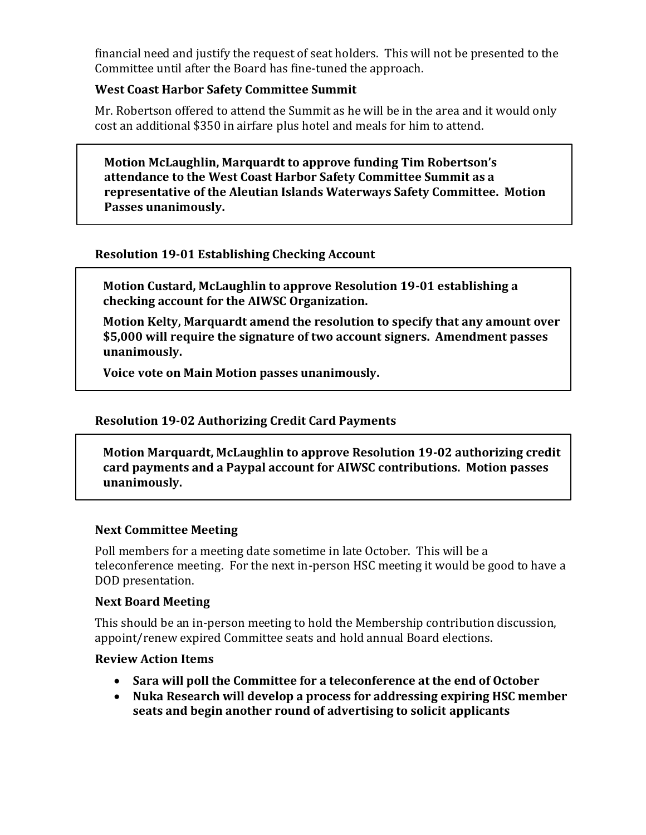financial need and justify the request of seat holders. This will not be presented to the Committee until after the Board has fine-tuned the approach.

### **West Coast Harbor Safety Committee Summit**

Mr. Robertson offered to attend the Summit as he will be in the area and it would only cost an additional \$350 in airfare plus hotel and meals for him to attend.

**Motion McLaughlin, Marquardt to approve funding Tim Robertson's attendance to the West Coast Harbor Safety Committee Summit as a representative of the Aleutian Islands Waterways Safety Committee. Motion Passes unanimously.**

## **Resolution 19-01 Establishing Checking Account**

**Motion Custard, McLaughlin to approve Resolution 19-01 establishing a checking account for the AIWSC Organization.**

**Motion Kelty, Marquardt amend the resolution to specify that any amount over \$5,000 will require the signature of two account signers. Amendment passes unanimously.**

**Voice vote on Main Motion passes unanimously.**

## **Resolution 19-02 Authorizing Credit Card Payments**

**Motion Marquardt, McLaughlin to approve Resolution 19-02 authorizing credit card payments and a Paypal account for AIWSC contributions. Motion passes unanimously.**

#### **Next Committee Meeting**

Poll members for a meeting date sometime in late October. This will be a teleconference meeting. For the next in-person HSC meeting it would be good to have a DOD presentation.

#### **Next Board Meeting**

This should be an in-person meeting to hold the Membership contribution discussion, appoint/renew expired Committee seats and hold annual Board elections.

#### **Review Action Items**

- **Sara will poll the Committee for a teleconference at the end of October**
- **Nuka Research will develop a process for addressing expiring HSC member seats and begin another round of advertising to solicit applicants**